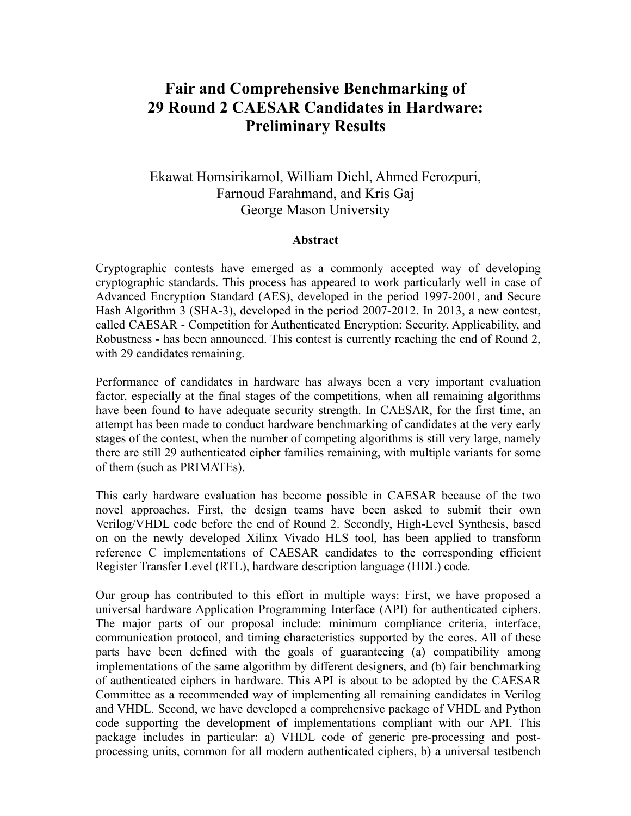## **Fair and Comprehensive Benchmarking of 29 Round 2 CAESAR Candidates in Hardware: Preliminary Results**

## Ekawat Homsirikamol, William Diehl, Ahmed Ferozpuri, Farnoud Farahmand, and Kris Gaj George Mason University

## **Abstract**

Cryptographic contests have emerged as a commonly accepted way of developing cryptographic standards. This process has appeared to work particularly well in case of Advanced Encryption Standard (AES), developed in the period 1997-2001, and Secure Hash Algorithm 3 (SHA-3), developed in the period 2007-2012. In 2013, a new contest, called CAESAR - Competition for Authenticated Encryption: Security, Applicability, and Robustness - has been announced. This contest is currently reaching the end of Round 2, with 29 candidates remaining.

Performance of candidates in hardware has always been a very important evaluation factor, especially at the final stages of the competitions, when all remaining algorithms have been found to have adequate security strength. In CAESAR, for the first time, an attempt has been made to conduct hardware benchmarking of candidates at the very early stages of the contest, when the number of competing algorithms is still very large, namely there are still 29 authenticated cipher families remaining, with multiple variants for some of them (such as PRIMATEs).

This early hardware evaluation has become possible in CAESAR because of the two novel approaches. First, the design teams have been asked to submit their own Verilog/VHDL code before the end of Round 2. Secondly, High-Level Synthesis, based on on the newly developed Xilinx Vivado HLS tool, has been applied to transform reference C implementations of CAESAR candidates to the corresponding efficient Register Transfer Level (RTL), hardware description language (HDL) code.

Our group has contributed to this effort in multiple ways: First, we have proposed a universal hardware Application Programming Interface (API) for authenticated ciphers. The major parts of our proposal include: minimum compliance criteria, interface, communication protocol, and timing characteristics supported by the cores. All of these parts have been defined with the goals of guaranteeing (a) compatibility among implementations of the same algorithm by different designers, and (b) fair benchmarking of authenticated ciphers in hardware. This API is about to be adopted by the CAESAR Committee as a recommended way of implementing all remaining candidates in Verilog and VHDL. Second, we have developed a comprehensive package of VHDL and Python code supporting the development of implementations compliant with our API. This package includes in particular: a) VHDL code of generic pre-processing and postprocessing units, common for all modern authenticated ciphers, b) a universal testbench